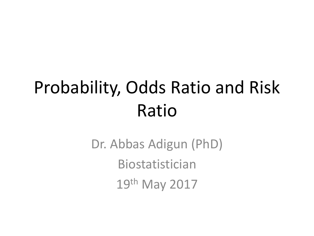## Probability, Odds Ratio and Risk Ratio

Dr. Abbas Adigun (PhD) Biostatistician 19th May 2017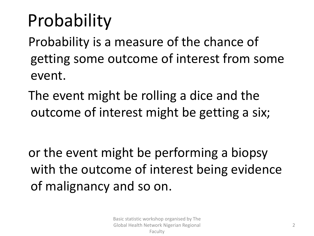# Probability

Probability is a measure of the chance of getting some outcome of interest from some event.

The event might be rolling a dice and the outcome of interest might be getting a six;

or the event might be performing a biopsy with the outcome of interest being evidence of malignancy and so on.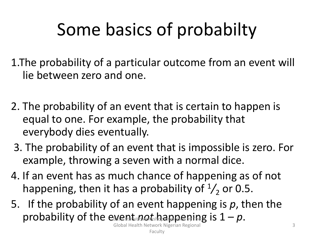# Some basics of probabilty

1.The probability of a particular outcome from an event will lie between zero and one.

- 2. The probability of an event that is certain to happen is equal to one. For example, the probability that everybody dies eventually.
- 3. The probability of an event that is impossible is zero. For example, throwing a seven with a normal dice.
- 4. If an event has as much chance of happening as of not happening, then it has a probability of  $\frac{1}{2}$  or 0.5.
- 5. If the probability of an event happening is *p*, then the probability of the event *algebra in a pering* is  $1 - p$ .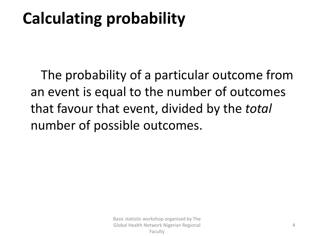## **Calculating probability**

The probability of a particular outcome from an event is equal to the number of outcomes that favour that event, divided by the *total* number of possible outcomes.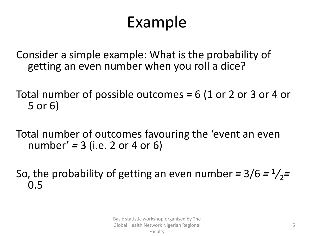### Example

Consider a simple example: What is the probability of getting an even number when you roll a dice?

Total number of possible outcomes *=* 6 (1 or 2 or 3 or 4 or 5 or 6)

Total number of outcomes favouring the 'event an even number' *=* 3 (i.e. 2 or 4 or 6)

So, the probability of getting an even number =  $3/6 = \frac{1}{2}$ = 0.5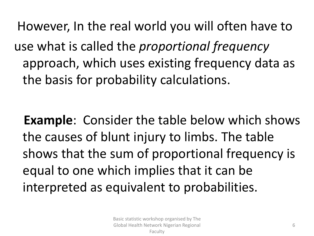However, In the real world you will often have to use what is called the *proportional frequency* approach, which uses existing frequency data as the basis for probability calculations.

**Example**: Consider the table below which shows the causes of blunt injury to limbs. The table shows that the sum of proportional frequency is equal to one which implies that it can be interpreted as equivalent to probabilities.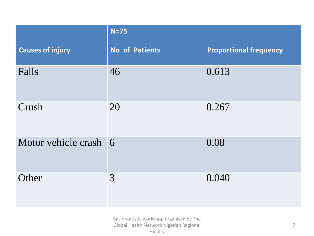|                         | $N=75$                |                               |
|-------------------------|-----------------------|-------------------------------|
| <b>Causes of injury</b> | <b>No of Patients</b> | <b>Proportional frequency</b> |
| Falls                   | 46                    | 0.613                         |
| Crush                   | 20                    | 0.267                         |
| Motor vehicle crash 6   |                       | 0.08                          |
| Other                   | 3                     | 0.040                         |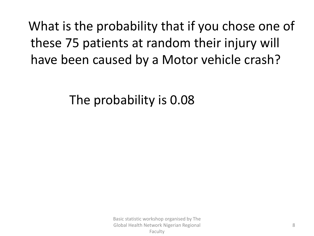What is the probability that if you chose one of these 75 patients at random their injury will have been caused by a Motor vehicle crash?

The probability is 0.08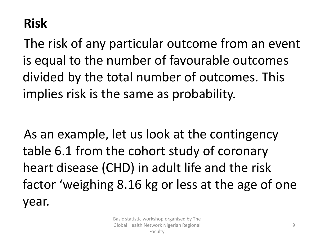#### **Risk**

The risk of any particular outcome from an event is equal to the number of favourable outcomes divided by the total number of outcomes. This implies risk is the same as probability.

As an example, let us look at the contingency table 6.1 from the cohort study of coronary heart disease (CHD) in adult life and the risk factor 'weighing 8.16 kg or less at the age of one year.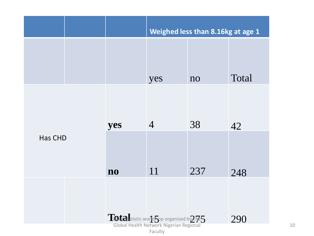|                                                     |  |                        | Weighed less than 8.16kg at age 1 |     |       |
|-----------------------------------------------------|--|------------------------|-----------------------------------|-----|-------|
|                                                     |  |                        | yes                               | no  | Total |
|                                                     |  | yes                    | $\overline{4}$                    | 38  | 42    |
| Has CHD                                             |  | $\mathbf{n}\mathbf{o}$ | 11                                | 237 | 248   |
|                                                     |  |                        |                                   |     | 290   |
| Totalatistic workshop organised by The 5<br>Faculty |  |                        |                                   |     |       |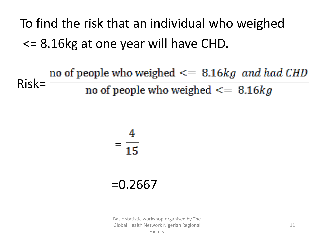To find the risk that an individual who weighed <= 8.16kg at one year will have CHD.

no of people who weighed  $\leq$  8.16kg and had CHD Risk= no of people who weighed  $\leq$  8.16kg

# =

#### =0.2667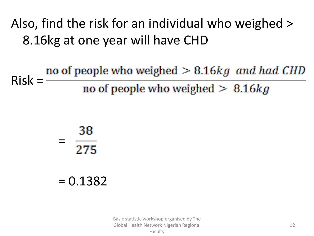Also, find the risk for an individual who weighed > 8.16kg at one year will have CHD

no of people who weighed  $> 8.16 kg$  and had CHD<br>Risk = no of people who weighed  $> 8.16$ 

> $\frac{38}{275}$ =

#### $= 0.1382$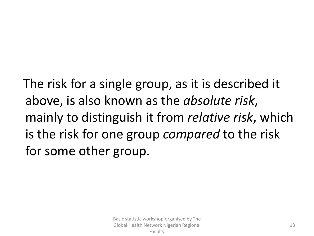The risk for a single group, as it is described it above, is also known as the *absolute risk*, mainly to distinguish it from *relative risk*, which is the risk for one group *compared* to the risk for some other group.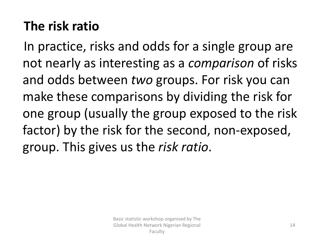#### **The risk ratio**

In practice, risks and odds for a single group are not nearly as interesting as a *comparison* of risks and odds between *two* groups. For risk you can make these comparisons by dividing the risk for one group (usually the group exposed to the risk factor) by the risk for the second, non-exposed, group. This gives us the *risk ratio*.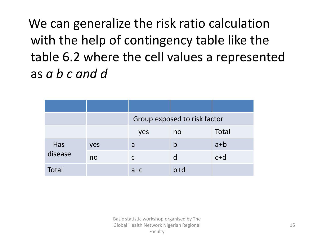We can generalize the risk ratio calculation with the help of contingency table like the table 6.2 where the cell values a represented as *a b c and d*

|                |     | Group exposed to risk factor |             |       |
|----------------|-----|------------------------------|-------------|-------|
|                |     | yes                          | no          | Total |
| Has<br>disease | yes | a                            | $\mathsf b$ | $a+b$ |
|                | no  | C                            |             | $c+d$ |
| Total          |     | $a + c$                      | $b+d$       |       |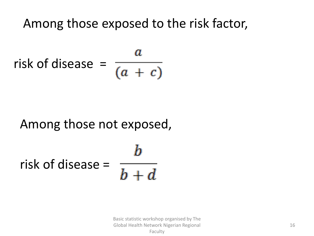Among those exposed to the risk factor,

$$
risk of disease = \frac{a}{(a + c)}
$$

#### Among those not exposed,

# risk of disease =  $\frac{a}{b+d}$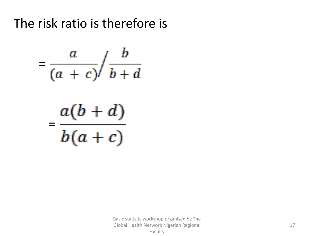#### The risk ratio is therefore is

$$
=\frac{a}{(a+c)}\bigg/\frac{b}{b+d}
$$

$$
=\frac{a(b+d)}{b(a+c)}
$$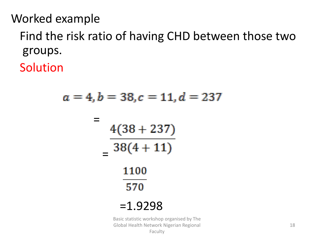Worked example

Find the risk ratio of having CHD between those two groups.

Solution

$$
a = 4, b = 38, c = 11, d = 23
$$
  
= 
$$
\frac{4(38 + 237)}{38(4 + 11)}
$$
  
= 
$$
\frac{1100}{570}
$$
  
= 1.9298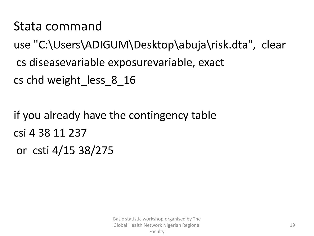Stata command

use "C:\Users\ADIGUM\Desktop\abuja\risk.dta", clear cs diseasevariable exposurevariable, exact cs chd weight less 8 16

if you already have the contingency table csi 4 38 11 237 or csti 4/15 38/275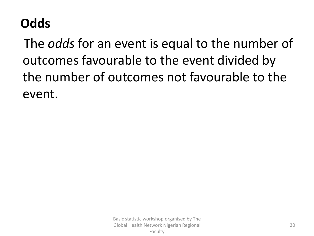#### **Odds**

The *odds* for an event is equal to the number of outcomes favourable to the event divided by the number of outcomes not favourable to the event.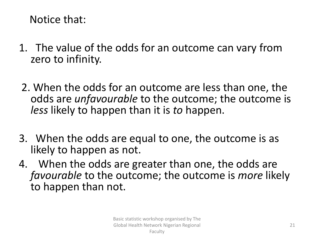Notice that:

- 1. The value of the odds for an outcome can vary from zero to infinity.
- 2. When the odds for an outcome are less than one, the odds are *unfavourable* to the outcome; the outcome is *less* likely to happen than it is *to* happen.
- 3. When the odds are equal to one, the outcome is as likely to happen as not.
- 4. When the odds are greater than one, the odds are *favourable* to the outcome; the outcome is *more* likely to happen than not.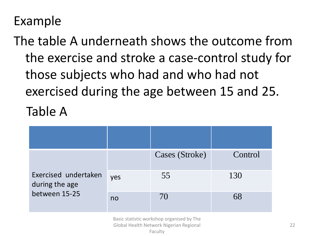#### Example

The table A underneath shows the outcome from the exercise and stroke a case-control study for those subjects who had and who had not exercised during the age between 15 and 25. Table A

|                                                         |     | Cases (Stroke) | Control |
|---------------------------------------------------------|-----|----------------|---------|
| Exercised undertaken<br>during the age<br>between 15-25 | yes | 55             | 130     |
|                                                         | no  | 70             | 68      |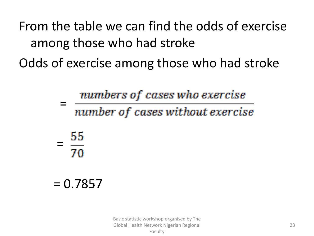From the table we can find the odds of exercise among those who had stroke

Odds of exercise among those who had stroke

numbers of cases who exercise

number of cases without exercise

 $\frac{55}{70}$ 

=

 $= 0.7857$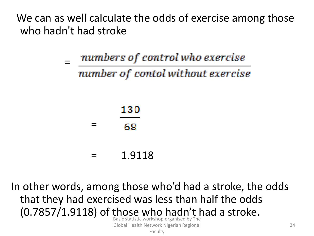We can as well calculate the odds of exercise among those who hadn't had stroke

> numbers of control who exercise = number of contol without exercise

|          | 130 |  |
|----------|-----|--|
| $\equiv$ | 68  |  |
|          |     |  |

= 1.9118

In other words, among those who'd had a stroke, the odds that they had exercised was less than half the odds (0.7857/1.9118) of those who hadn't had a stroke.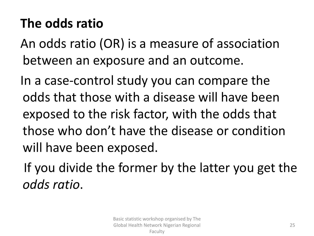#### **The odds ratio**

An odds ratio (OR) is a measure of association between an exposure and an outcome.

In a case-control study you can compare the odds that those with a disease will have been exposed to the risk factor, with the odds that those who don't have the disease or condition will have been exposed.

If you divide the former by the latter you get the *odds ratio*.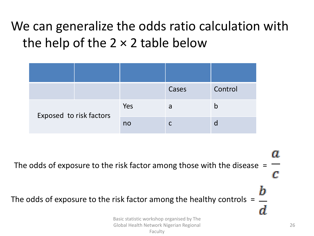#### We can generalize the odds ratio calculation with the help of the  $2 \times 2$  table below

|                         |  |     | Cases | Control |
|-------------------------|--|-----|-------|---------|
| Exposed to risk factors |  | Yes | a     |         |
|                         |  | no  |       |         |

U. The odds of exposure to the risk factor among those with the disease  $=$ C The odds of exposure to the risk factor among the healthy controls = Basic statistic workshop organised by The Global Health Network Nigerian Regional Faculty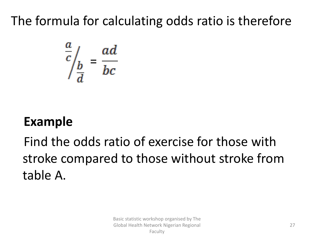#### The formula for calculating odds ratio is therefore

$$
\frac{a}{c}\bigg|_{\frac{b}{d}} = \frac{ad}{bc}
$$

#### **Example**

#### Find the odds ratio of exercise for those with stroke compared to those without stroke from table A.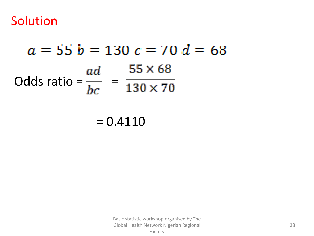Solution

# $a = 55 b = 130 c = 70 d = 68$ Odds ratio =  $\frac{ad}{bc}$  =  $\frac{55 \times 68}{130 \times 70}$

 $= 0.4110$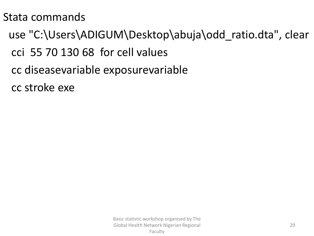#### Stata commands

- use "C:\Users\ADIGUM\Desktop\abuja\odd\_ratio.dta", clear
	- cci 55 70 130 68 for cell values
	- cc diseasevariable exposurevariable
	- cc stroke exe